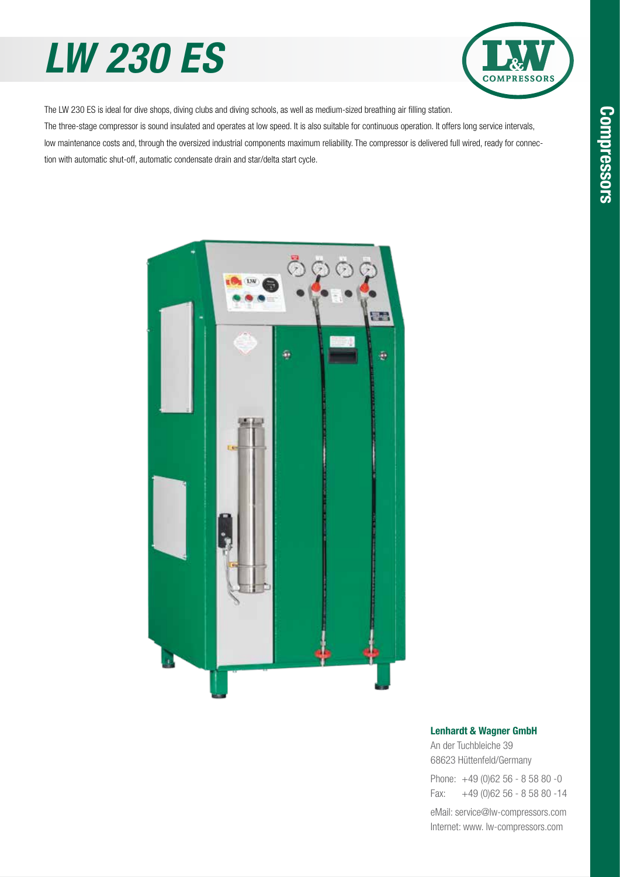# *LW 230 ES*



The LW 230 ES is ideal for dive shops, diving clubs and diving schools, as well as medium-sized breathing air filling station. The three-stage compressor is sound insulated and operates at low speed. It is also suitable for continuous operation. It offers long service intervals, low maintenance costs and, through the oversized industrial components maximum reliability. The compressor is delivered full wired, ready for connec-

tion with automatic shut-off, automatic condensate drain and star/delta start cycle.



#### Lenhardt & Wagner GmbH

An der Tuchbleiche 39 68623 Hüttenfeld / Germany Hüttenfeld/Germany

Phone: +49 (0)62 56 - 8 58 80 -0 Fax: +49 (0)62 56 - 8 58 80 -14 +49 (0)62 56 - 8 58 80 -14

eMail: service@lw-compressors.com Internet: www. lw-compressors.com